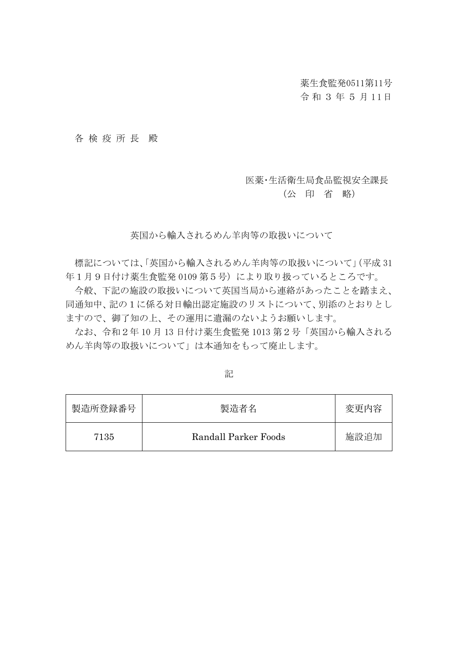## 薬生食監発0511第11号

# 令 和 3 年 5 月 1 1日

#### 各 検 疫 所 長 殿

### 医薬・生活衛生局食品監視安全課長

# (公 印 省 略)

英国から輸入されるめん羊肉等の取扱いについて

標記については、「英国から輸入されるめん羊肉等の取扱いについて」(平成 31 年1月9日付け薬生食監発 0109 第5号)により取り扱っているところです。

今般、下記の施設の取扱いについて英国当局から連絡があったことを踏まえ、 同通知中、記の1に係る対日輸出認定施設のリストについて、別添のとおりとし ますので、御了知の上、その運用に遺漏のないようお願いします。

なお、令和2年 10 月 13 日付け薬生食監発 1013 第2号「英国から輸入される めん羊肉等の取扱いについて」は本通知をもって廃止します。

| 製造所登録番号 | 製造者名                 | 変更内容 |
|---------|----------------------|------|
| 7135    | Randall Parker Foods | 施設追加 |

記